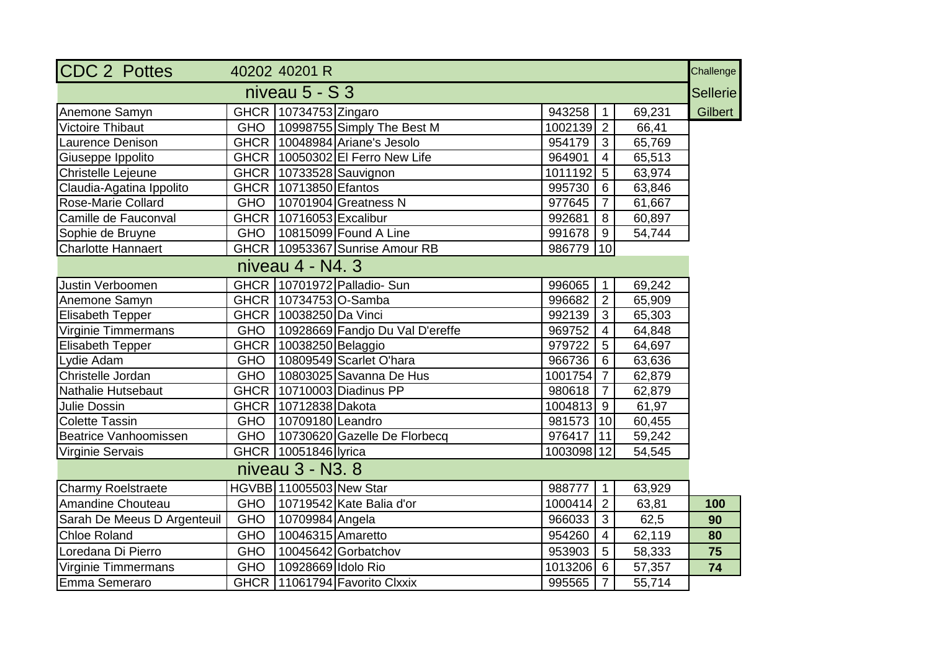| <b>CDC 2 Pottes</b>          |            | 40202 40201 R              |                                       |                        |                 |        | Challenge<br><b>Sellerie</b> |
|------------------------------|------------|----------------------------|---------------------------------------|------------------------|-----------------|--------|------------------------------|
| niveau $5 - S$ 3             |            |                            |                                       |                        |                 |        |                              |
| Anemone Samyn                |            | GHCR 10734753 Zingaro      |                                       | 943258                 | $\overline{1}$  | 69,231 | Gilbert                      |
| Victoire Thibaut             |            |                            | GHO   10998755 Simply The Best M      | 1002139 2              |                 | 66,41  |                              |
| Laurence Denison             |            |                            | GHCR   10048984 Ariane's Jesolo       | $954179$ 3             |                 | 65,769 |                              |
| Giuseppe Ippolito            |            |                            | GHCR   10050302 El Ferro New Life     | 964901                 | $\overline{4}$  | 65,513 |                              |
| Christelle Lejeune           |            |                            | GHCR   10733528 Sauvignon             | 1011192 5              |                 | 63,974 |                              |
| Claudia-Agatina Ippolito     |            | GHCR 10713850 Efantos      |                                       | 995730                 | $6\phantom{1}6$ | 63,846 |                              |
| Rose-Marie Collard           |            |                            | GHO   10701904 Greatness N            | 977645                 | $\overline{7}$  | 61,667 |                              |
| Camille de Fauconval         |            | GHCR   10716053 Excalibur  |                                       | 992681                 | 8               | 60,897 |                              |
| Sophie de Bruyne             |            |                            | GHO   10815099 Found A Line           | $991678$ 9             |                 | 54,744 |                              |
| <b>Charlotte Hannaert</b>    |            |                            | GHCR 10953367 Sunrise Amour RB        | 986779   10            |                 |        |                              |
|                              |            | niveau 4 - N4, 3           |                                       |                        |                 |        |                              |
| Justin Verboomen             |            |                            | GHCR 10701972 Palladio- Sun           | 996065                 | $\overline{1}$  | 69,242 |                              |
| Anemone Samyn                |            | GHCR   10734753   O-Samba  |                                       | 996682                 | $\overline{2}$  | 65,909 |                              |
| <b>Elisabeth Tepper</b>      |            | GHCR   10038250   Da Vinci |                                       | 992139                 | $\mathbf{3}$    | 65,303 |                              |
| Virginie Timmermans          |            |                            | GHO   10928669 Fandjo Du Val D'ereffe | 969752                 | $\overline{4}$  | 64,848 |                              |
| Elisabeth Tepper             |            | GHCR 10038250 Belaggio     |                                       | 979722                 | $5\overline{)}$ | 64,697 |                              |
| Lydie Adam                   |            |                            | GHO 10809549 Scarlet O'hara           | 966736                 | 6               | 63,636 |                              |
| Christelle Jordan            |            |                            | GHO   10803025 Savanna De Hus         | $1001754 \overline{7}$ |                 | 62,879 |                              |
| Nathalie Hutsebaut           |            |                            | GHCR 10710003 Diadinus PP             | 980618 7               |                 | 62,879 |                              |
| Julie Dossin                 |            | GHCR   10712838 Dakota     |                                       | 1004813 9              |                 | 61,97  |                              |
| <b>Colette Tassin</b>        |            | GHO   10709180   Leandro   |                                       | 981573   10            |                 | 60,455 |                              |
| <b>Beatrice Vanhoomissen</b> |            |                            | GHO   10730620 Gazelle De Florbecq    | 976417   11            |                 | 59,242 |                              |
| Virginie Servais             |            | GHCR 10051846 lyrica       |                                       | 1003098 12             |                 | 54,545 |                              |
|                              |            | niveau 3 - N3, 8           |                                       |                        |                 |        |                              |
| <b>Charmy Roelstraete</b>    |            | HGVBB 11005503 New Star    |                                       | 988777                 | $\overline{1}$  | 63,929 |                              |
| <b>Amandine Chouteau</b>     |            |                            | GHO 10719542 Kate Balia d'or          | $1000414$ 2            |                 | 63,81  | 100                          |
| Sarah De Meeus D Argenteuil  | <b>GHO</b> | 10709984 Angela            |                                       | 966033                 | $\mathbf{3}$    | 62,5   | 90                           |
| <b>Chloe Roland</b>          | <b>GHO</b> | 10046315 Amaretto          |                                       | 954260                 | $\overline{4}$  | 62,119 | 80                           |
| Loredana Di Pierro           | <b>GHO</b> |                            | 10045642 Gorbatchov                   | 953903                 | $5\overline{)}$ | 58,333 | 75                           |
| Virginie Timmermans          | <b>GHO</b> | 10928669 Idolo Rio         |                                       | $1013206$ 6            |                 | 57,357 | 74                           |
| Emma Semeraro                |            |                            | GHCR   11061794 Favorito Clxxix       | 995565                 | $\overline{7}$  | 55,714 |                              |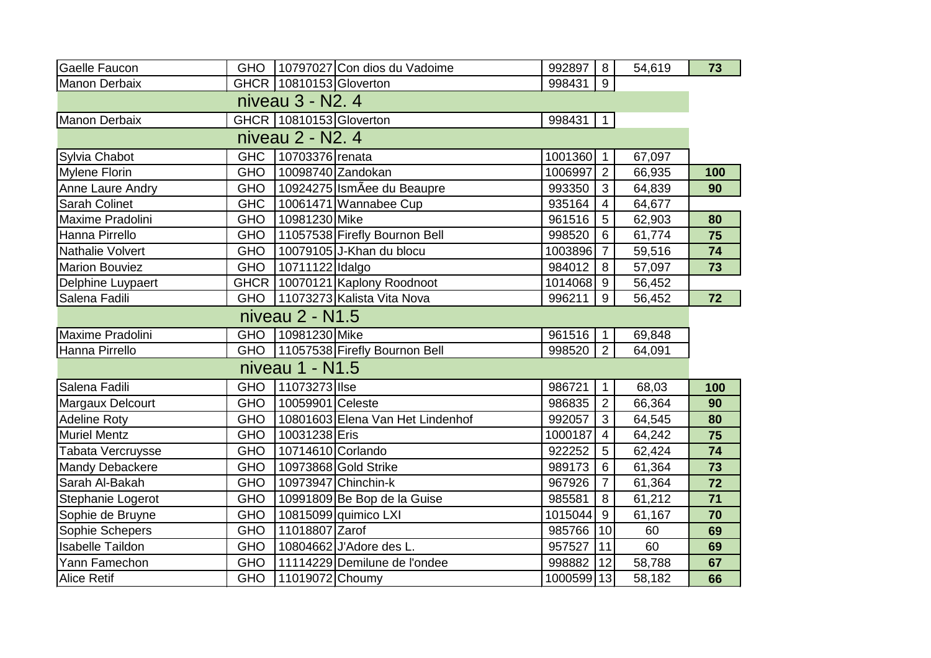| Gaelle Faucon           |            |                           | GHO 10797027 Con dios du Vadoime    | 992897     | 8 <sup>1</sup>  | 54,619 | 73  |
|-------------------------|------------|---------------------------|-------------------------------------|------------|-----------------|--------|-----|
| Manon Derbaix           |            | GHCR   10810153 Gloverton |                                     | 998431     | 9               |        |     |
| niveau 3 - N2, 4        |            |                           |                                     |            |                 |        |     |
| Manon Derbaix           |            | GHCR 10810153 Gloverton   |                                     | 998431     | $\overline{1}$  |        |     |
| niveau 2 - N2. 4        |            |                           |                                     |            |                 |        |     |
| Sylvia Chabot           | <b>GHC</b> | 10703376 renata           |                                     | 1001360 1  |                 | 67,097 |     |
| <b>Mylene Florin</b>    | <b>GHO</b> |                           | 10098740 Zandokan                   | 1006997    | $\overline{2}$  | 66,935 | 100 |
| Anne Laure Andry        | <b>GHO</b> |                           | 10924275 IsmÃee du Beaupre          | 993350     | 3               | 64,839 | 90  |
| <b>Sarah Colinet</b>    | <b>GHC</b> |                           | 10061471 Wannabee Cup               | 935164     | $\overline{4}$  | 64,677 |     |
| Maxime Pradolini        | <b>GHO</b> | 10981230 Mike             |                                     | 961516     | $5\phantom{.0}$ | 62,903 | 80  |
| Hanna Pirrello          | <b>GHO</b> |                           | 11057538 Firefly Bournon Bell       | 998520     | $6\phantom{1}$  | 61,774 | 75  |
| <b>Nathalie Volvert</b> | <b>GHO</b> |                           | 10079105 J-Khan du blocu            | 1003896    | $\overline{7}$  | 59,516 | 74  |
| <b>Marion Bouviez</b>   | <b>GHO</b> | 10711122 Idalgo           |                                     | 984012     | 8               | 57,097 | 73  |
| Delphine Luypaert       |            |                           | GHCR   10070121 Kaplony Roodnoot    | 1014068 9  |                 | 56,452 |     |
| Salena Fadili           | <b>GHO</b> |                           | 11073273 Kalista Vita Nova          | 996211     | 9               | 56,452 | 72  |
| niveau 2 - N1.5         |            |                           |                                     |            |                 |        |     |
| Maxime Pradolini        | <b>GHO</b> | 10981230 Mike             |                                     | 961516     | $\mathbf{1}$    | 69,848 |     |
| Hanna Pirrello          |            |                           | GHO   11057538 Firefly Bournon Bell | 998520     | 2 <sup>1</sup>  | 64,091 |     |
|                         |            | niveau 1 - N1.5           |                                     |            |                 |        |     |
| Salena Fadili           | <b>GHO</b> | 11073273 Ilse             |                                     | 986721     | $\mathbf{1}$    | 68,03  | 100 |
| Margaux Delcourt        | <b>GHO</b> | 10059901 Celeste          |                                     | 986835     | $\overline{2}$  | 66,364 | 90  |
| <b>Adeline Roty</b>     | <b>GHO</b> |                           | 10801603 Elena Van Het Lindenhof    | 992057     | 3               | 64,545 | 80  |
| <b>Muriel Mentz</b>     | <b>GHO</b> | 10031238 Eris             |                                     | 1000187    | $\overline{4}$  | 64,242 | 75  |
| Tabata Vercruysse       | <b>GHO</b> | 10714610 Corlando         |                                     | 922252     | $\sqrt{5}$      | 62,424 | 74  |
| Mandy Debackere         | <b>GHO</b> |                           | 10973868 Gold Strike                | 989173     | $\,6\,$         | 61,364 | 73  |
| Sarah Al-Bakah          | <b>GHO</b> |                           | 10973947 Chinchin-k                 | 967926     | $\overline{7}$  | 61,364 | 72  |
| Stephanie Logerot       | <b>GHO</b> |                           | 10991809 Be Bop de la Guise         | 985581     | 8               | 61,212 | 71  |
| Sophie de Bruyne        | <b>GHO</b> |                           | 10815099 quimico LXI                | 1015044    | 9               | 61,167 | 70  |
| Sophie Schepers         | <b>GHO</b> | 11018807 Zarof            |                                     | 985766     | 10              | 60     | 69  |
| <b>Isabelle Taildon</b> | <b>GHO</b> |                           | 10804662 J'Adore des L.             | 957527     | 11              | 60     | 69  |
| Yann Famechon           | <b>GHO</b> |                           | 11114229 Demilune de l'ondee        | 998882     | 12              | 58,788 | 67  |
| <b>Alice Retif</b>      | <b>GHO</b> | 11019072 Choumy           |                                     | 1000599 13 |                 | 58,182 | 66  |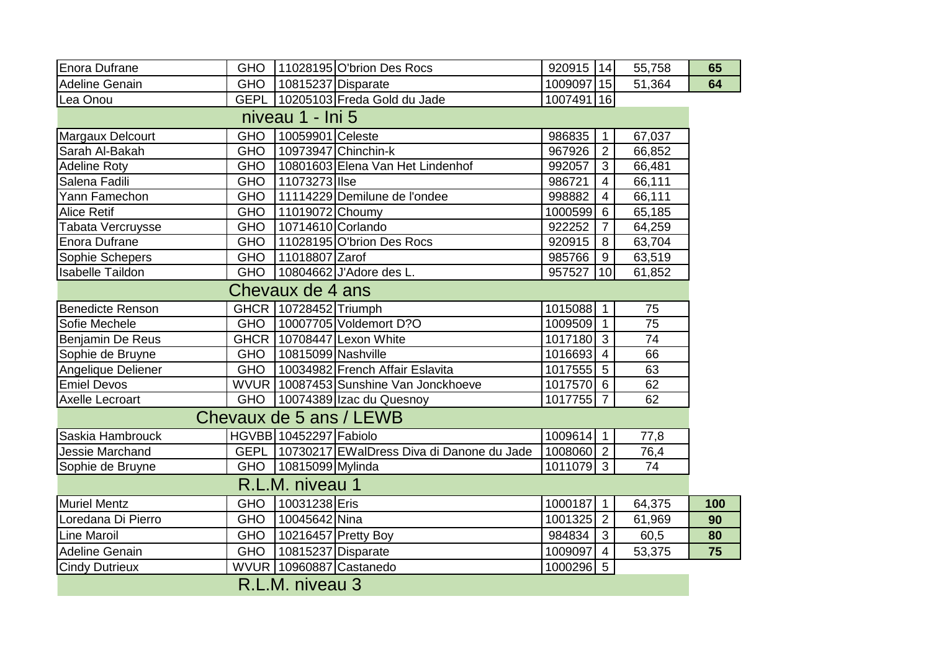| Enora Dufrane           | <b>GHO</b> |                               | 11028195 O'brion Des Rocs                      | 920915   14 |                 | 55,758          | 65  |
|-------------------------|------------|-------------------------------|------------------------------------------------|-------------|-----------------|-----------------|-----|
| <b>Adeline Genain</b>   | <b>GHO</b> | 10815237 Disparate            |                                                | 1009097 15  |                 | 51,364          | 64  |
| Lea Onou                |            |                               | GEPL 10205103 Freda Gold du Jade               | 1007491 16  |                 |                 |     |
| niveau 1 - Ini 5        |            |                               |                                                |             |                 |                 |     |
| Margaux Delcourt        | <b>GHO</b> | 10059901 Celeste              |                                                | 986835      | $\overline{1}$  | 67,037          |     |
| Sarah Al-Bakah          | GHO        |                               | 10973947 Chinchin-k                            | 967926      | $\overline{2}$  | 66,852          |     |
| <b>Adeline Roty</b>     | <b>GHO</b> |                               | 10801603 Elena Van Het Lindenhof               | 992057      | $\mathbf{3}$    | 66,481          |     |
| Salena Fadili           | <b>GHO</b> | 11073273 Ilse                 |                                                | 986721      | $\overline{4}$  | 66,111          |     |
| Yann Famechon           | <b>GHO</b> |                               | 11114229 Demilune de l'ondee                   | 998882      | $\overline{4}$  | 66,111          |     |
| <b>Alice Retif</b>      | <b>GHO</b> | 11019072 Choumy               |                                                | 1000599     | 6               | 65,185          |     |
| Tabata Vercruysse       | <b>GHO</b> | 10714610 Corlando             |                                                | 922252      | $\overline{7}$  | 64,259          |     |
| <b>Enora Dufrane</b>    | <b>GHO</b> |                               | 11028195 O'brion Des Rocs                      | 920915      | 8               | 63,704          |     |
| Sophie Schepers         | <b>GHO</b> | 11018807 Zarof                |                                                | 985766      | 9               | 63,519          |     |
| <b>Isabelle Taildon</b> | <b>GHO</b> |                               | 10804662 J'Adore des L.                        | 957527      | 10              | 61,852          |     |
|                         |            | Chevaux de 4 ans              |                                                |             |                 |                 |     |
| <b>Benedicte Renson</b> |            | GHCR   10728452 Triumph       |                                                | 1015088 1   |                 | 75              |     |
| Sofie Mechele           | <b>GHO</b> |                               | 10007705 Voldemort D?O                         | 1009509     | $\overline{1}$  | $\overline{75}$ |     |
| <b>Benjamin De Reus</b> |            |                               | GHCR   10708447 Lexon White                    | 1017180     | $\mathbf{3}$    | 74              |     |
| Sophie de Bruyne        | <b>GHO</b> | 10815099 Nashville            |                                                | 1016693     | $\overline{4}$  | 66              |     |
| Angelique Deliener      | <b>GHO</b> |                               | 10034982 French Affair Eslavita                | 1017555 5   |                 | 63              |     |
| <b>Emiel Devos</b>      |            |                               | WVUR 10087453 Sunshine Van Jonckhoeve          | 1017570 6   |                 | 62              |     |
| Axelle Lecroart         |            |                               | GHO   10074389 Izac du Quesnoy                 | 1017755 7   |                 | 62              |     |
| Chevaux de 5 ans / LEWB |            |                               |                                                |             |                 |                 |     |
| Saskia Hambrouck        |            | <b>HGVBB</b> 10452297 Fabiolo |                                                | 1009614 1   |                 | 77,8            |     |
| Jessie Marchand         |            |                               | GEPL 10730217 EWalDress Diva di Danone du Jade | 1008060 2   |                 | 76,4            |     |
| Sophie de Bruyne        | <b>GHO</b> | 10815099 Mylinda              |                                                | 1011079 3   |                 | 74              |     |
| R.L.M. niveau 1         |            |                               |                                                |             |                 |                 |     |
| Muriel Mentz            | <b>GHO</b> | 10031238 Eris                 |                                                | 1000187     | $\overline{1}$  | 64,375          | 100 |
| Loredana Di Pierro      | <b>GHO</b> | 10045642 Nina                 |                                                | 1001325     | 2               | 61,969          | 90  |
| <b>Line Maroil</b>      | <b>GHO</b> |                               | 10216457 Pretty Boy                            | 984834      | 3               | 60,5            | 80  |
| Adeline Genain          | <b>GHO</b> | 10815237 Disparate            |                                                | 1009097     | $\overline{4}$  | 53,375          | 75  |
| <b>Cindy Dutrieux</b>   |            |                               | WVUR 10960887 Castanedo                        | 1000296     | $5\phantom{.0}$ |                 |     |
| R.L.M. niveau 3         |            |                               |                                                |             |                 |                 |     |